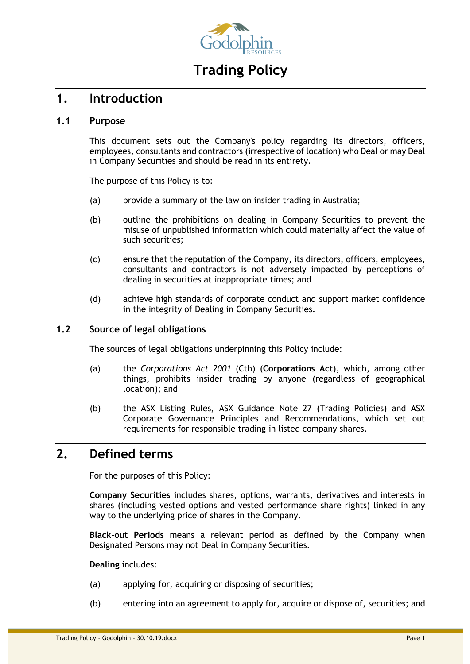

# **Trading Policy**

# **1. Introduction**

#### **1.1 Purpose**

This document sets out the Company's policy regarding its directors, officers, employees, consultants and contractors (irrespective of location) who Deal or may Deal in Company Securities and should be read in its entirety.

The purpose of this Policy is to:

- (a) provide a summary of the law on insider trading in Australia;
- (b) outline the prohibitions on dealing in Company Securities to prevent the misuse of unpublished information which could materially affect the value of such securities;
- (c) ensure that the reputation of the Company, its directors, officers, employees, consultants and contractors is not adversely impacted by perceptions of dealing in securities at inappropriate times; and
- (d) achieve high standards of corporate conduct and support market confidence in the integrity of Dealing in Company Securities.

### **1.2 Source of legal obligations**

The sources of legal obligations underpinning this Policy include:

- (a) the *Corporations Act 2001* (Cth) (**Corporations Act**), which, among other things, prohibits insider trading by anyone (regardless of geographical location); and
- (b) the ASX Listing Rules, ASX Guidance Note 27 (Trading Policies) and ASX Corporate Governance Principles and Recommendations, which set out requirements for responsible trading in listed company shares.

# **2. Defined terms**

For the purposes of this Policy:

**Company Securities** includes shares, options, warrants, derivatives and interests in shares (including vested options and vested performance share rights) linked in any way to the underlying price of shares in the Company.

**Black-out Periods** means a relevant period as defined by the Company when Designated Persons may not Deal in Company Securities.

**Dealing** includes:

- (a) applying for, acquiring or disposing of securities;
- (b) entering into an agreement to apply for, acquire or dispose of, securities; and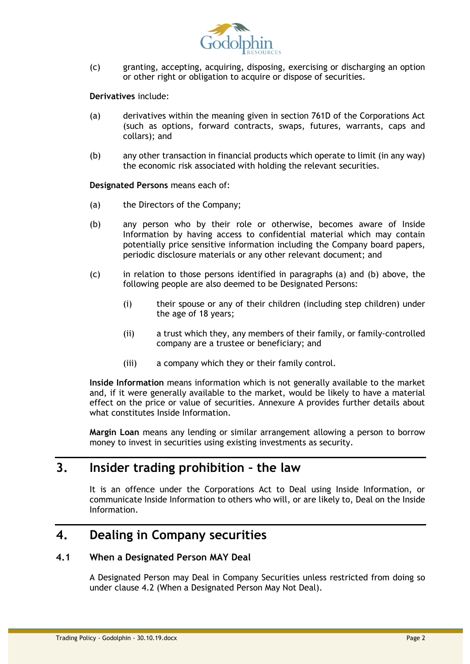

(c) granting, accepting, acquiring, disposing, exercising or discharging an option or other right or obligation to acquire or dispose of securities.

**Derivatives** include:

- (a) derivatives within the meaning given in section 761D of the Corporations Act (such as options, forward contracts, swaps, futures, warrants, caps and collars); and
- (b) any other transaction in financial products which operate to limit (in any way) the economic risk associated with holding the relevant securities.

<span id="page-1-0"></span>**Designated Persons** means each of:

- (a) the Directors of the Company;
- <span id="page-1-1"></span>(b) any person who by their role or otherwise, becomes aware of Inside Information by having access to confidential material which may contain potentially price sensitive information including the Company board papers, periodic disclosure materials or any other relevant document; and
- (c) in relation to those persons identified in paragraphs [\(a\)](#page-1-0) and [\(b\)](#page-1-1) above, the following people are also deemed to be Designated Persons:
	- (i) their spouse or any of their children (including step children) under the age of 18 years;
	- (ii) a trust which they, any members of their family, or family-controlled company are a trustee or beneficiary; and
	- (iii) a company which they or their family control.

**Inside Information** means information which is not generally available to the market and, if it were generally available to the market, would be likely to have a material effect on the price or value of securities. Annexure A provides further details about what constitutes Inside Information.

**Margin Loan** means any lending or similar arrangement allowing a person to borrow money to invest in securities using existing investments as security.

# **3. Insider trading prohibition – the law**

It is an offence under the Corporations Act to Deal using Inside Information, or communicate Inside Information to others who will, or are likely to, Deal on the Inside Information.

# **4. Dealing in Company securities**

#### **4.1 When a Designated Person MAY Deal**

A Designated Person may Deal in Company Securities unless restricted from doing so under clause [4.2](#page-2-0) (When a Designated Person May Not Deal).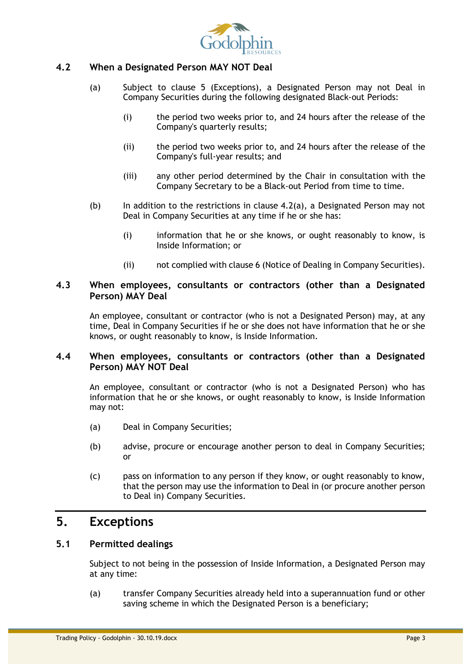

## <span id="page-2-1"></span><span id="page-2-0"></span>**4.2 When a Designated Person MAY NOT Deal**

- (a) Subject to clause 5 (Exceptions), a Designated Person may not Deal in Company Securities during the following designated Black-out Periods:
	- (i) the period two weeks prior to, and 24 hours after the release of the Company's quarterly results;
	- (ii) the period two weeks prior to, and 24 hours after the release of the Company's full-year results; and
	- (iii) any other period determined by the Chair in consultation with the Company Secretary to be a Black-out Period from time to time.
- (b) In addition to the restrictions in clause [4.2\(a\),](#page-2-1) a Designated Person may not Deal in Company Securities at any time if he or she has:
	- (i) information that he or she knows, or ought reasonably to know, is Inside Information; or
	- (ii) not complied with clause 6 (Notice of Dealing in Company Securities).

#### **4.3 When employees, consultants or contractors (other than a Designated Person) MAY Deal**

An employee, consultant or contractor (who is not a Designated Person) may, at any time, Deal in Company Securities if he or she does not have information that he or she knows, or ought reasonably to know, is Inside Information.

## **4.4 When employees, consultants or contractors (other than a Designated Person) MAY NOT Deal**

An employee, consultant or contractor (who is not a Designated Person) who has information that he or she knows, or ought reasonably to know, is Inside Information may not:

- (a) Deal in Company Securities;
- (b) advise, procure or encourage another person to deal in Company Securities; or
- (c) pass on information to any person if they know, or ought reasonably to know, that the person may use the information to Deal in (or procure another person to Deal in) Company Securities.

# **5. Exceptions**

## **5.1 Permitted dealings**

Subject to not being in the possession of Inside Information, a Designated Person may at any time:

(a) transfer Company Securities already held into a superannuation fund or other saving scheme in which the Designated Person is a beneficiary;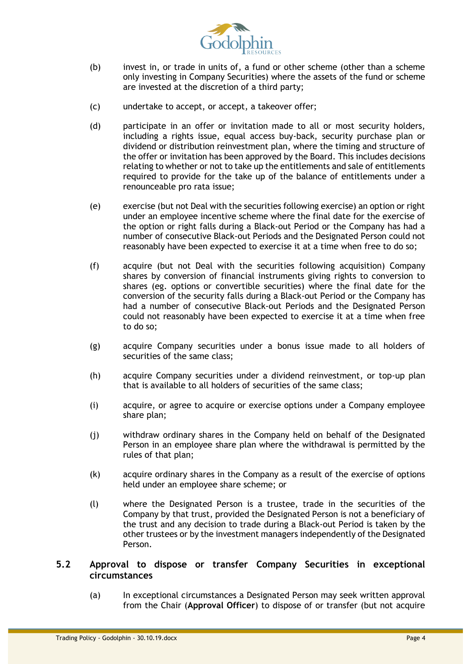

- (b) invest in, or trade in units of, a fund or other scheme (other than a scheme only investing in Company Securities) where the assets of the fund or scheme are invested at the discretion of a third party;
- (c) undertake to accept, or accept, a takeover offer;
- (d) participate in an offer or invitation made to all or most security holders, including a rights issue, equal access buy-back, security purchase plan or dividend or distribution reinvestment plan, where the timing and structure of the offer or invitation has been approved by the Board. This includes decisions relating to whether or not to take up the entitlements and sale of entitlements required to provide for the take up of the balance of entitlements under a renounceable pro rata issue;
- (e) exercise (but not Deal with the securities following exercise) an option or right under an employee incentive scheme where the final date for the exercise of the option or right falls during a Black-out Period or the Company has had a number of consecutive Black-out Periods and the Designated Person could not reasonably have been expected to exercise it at a time when free to do so;
- (f) acquire (but not Deal with the securities following acquisition) Company shares by conversion of financial instruments giving rights to conversion to shares (eg. options or convertible securities) where the final date for the conversion of the security falls during a Black-out Period or the Company has had a number of consecutive Black-out Periods and the Designated Person could not reasonably have been expected to exercise it at a time when free to do so;
- (g) acquire Company securities under a bonus issue made to all holders of securities of the same class;
- (h) acquire Company securities under a dividend reinvestment, or top-up plan that is available to all holders of securities of the same class;
- (i) acquire, or agree to acquire or exercise options under a Company employee share plan;
- (j) withdraw ordinary shares in the Company held on behalf of the Designated Person in an employee share plan where the withdrawal is permitted by the rules of that plan;
- (k) acquire ordinary shares in the Company as a result of the exercise of options held under an employee share scheme; or
- (l) where the Designated Person is a trustee, trade in the securities of the Company by that trust, provided the Designated Person is not a beneficiary of the trust and any decision to trade during a Black-out Period is taken by the other trustees or by the investment managers independently of the Designated Person.

## **5.2 Approval to dispose or transfer Company Securities in exceptional circumstances**

(a) In exceptional circumstances a Designated Person may seek written approval from the Chair (**Approval Officer**) to dispose of or transfer (but not acquire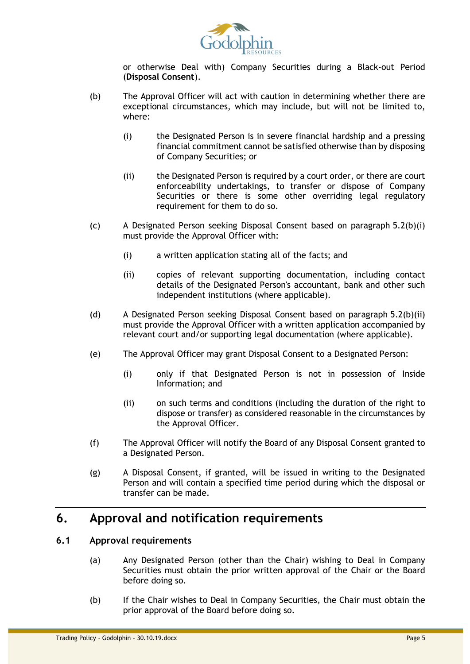

or otherwise Deal with) Company Securities during a Black-out Period (**Disposal Consent**).

- <span id="page-4-0"></span>(b) The Approval Officer will act with caution in determining whether there are exceptional circumstances, which may include, but will not be limited to, where:
	- (i) the Designated Person is in severe financial hardship and a pressing financial commitment cannot be satisfied otherwise than by disposing of Company Securities; or
	- (ii) the Designated Person is required by a court order, or there are court enforceability undertakings, to transfer or dispose of Company Securities or there is some other overriding legal regulatory requirement for them to do so.
- <span id="page-4-1"></span>(c) A Designated Person seeking Disposal Consent based on paragraph [5.2\(b\)\(i\)](#page-4-0) must provide the Approval Officer with:
	- (i) a written application stating all of the facts; and
	- (ii) copies of relevant supporting documentation, including contact details of the Designated Person's accountant, bank and other such independent institutions (where applicable).
- (d) A Designated Person seeking Disposal Consent based on paragraph [5.2\(b\)\(ii\)](#page-4-1) must provide the Approval Officer with a written application accompanied by relevant court and/or supporting legal documentation (where applicable).
- (e) The Approval Officer may grant Disposal Consent to a Designated Person:
	- (i) only if that Designated Person is not in possession of Inside Information; and
	- (ii) on such terms and conditions (including the duration of the right to dispose or transfer) as considered reasonable in the circumstances by the Approval Officer.
- (f) The Approval Officer will notify the Board of any Disposal Consent granted to a Designated Person.
- (g) A Disposal Consent, if granted, will be issued in writing to the Designated Person and will contain a specified time period during which the disposal or transfer can be made.

# **6. Approval and notification requirements**

## <span id="page-4-2"></span>**6.1 Approval requirements**

- (a) Any Designated Person (other than the Chair) wishing to Deal in Company Securities must obtain the prior written approval of the Chair or the Board before doing so.
- (b) If the Chair wishes to Deal in Company Securities, the Chair must obtain the prior approval of the Board before doing so.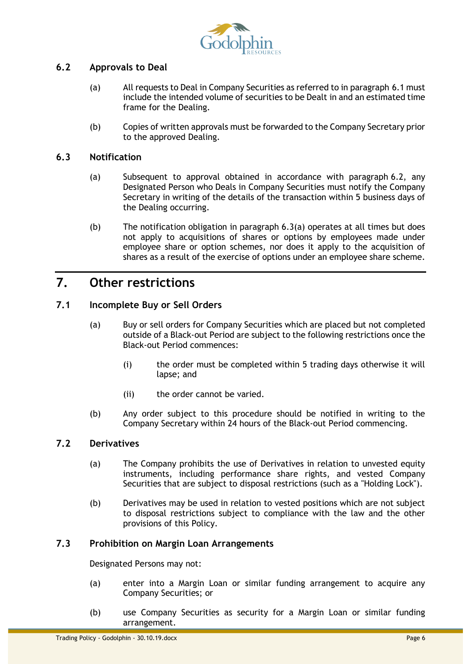

## <span id="page-5-0"></span>**6.2 Approvals to Deal**

- (a) All requests to Deal in Company Securities as referred to in paragraph [6.1](#page-4-2) must include the intended volume of securities to be Dealt in and an estimated time frame for the Dealing.
- (b) Copies of written approvals must be forwarded to the Company Secretary prior to the approved Dealing.

#### <span id="page-5-1"></span>**6.3 Notification**

- (a) Subsequent to approval obtained in accordance with paragraph [6.2,](#page-5-0) any Designated Person who Deals in Company Securities must notify the Company Secretary in writing of the details of the transaction within 5 business days of the Dealing occurring.
- (b) The notification obligation in paragraph [6.3\(a\)](#page-5-1) operates at all times but does not apply to acquisitions of shares or options by employees made under employee share or option schemes, nor does it apply to the acquisition of shares as a result of the exercise of options under an employee share scheme.

# **7. Other restrictions**

## **7.1 Incomplete Buy or Sell Orders**

- (a) Buy or sell orders for Company Securities which are placed but not completed outside of a Black-out Period are subject to the following restrictions once the Black-out Period commences:
	- (i) the order must be completed within 5 trading days otherwise it will lapse; and
	- (ii) the order cannot be varied.
- (b) Any order subject to this procedure should be notified in writing to the Company Secretary within 24 hours of the Black-out Period commencing.

#### **7.2 Derivatives**

- (a) The Company prohibits the use of Derivatives in relation to unvested equity instruments, including performance share rights, and vested Company Securities that are subject to disposal restrictions (such as a "Holding Lock").
- (b) Derivatives may be used in relation to vested positions which are not subject to disposal restrictions subject to compliance with the law and the other provisions of this Policy.

### **7.3 Prohibition on Margin Loan Arrangements**

Designated Persons may not:

- (a) enter into a Margin Loan or similar funding arrangement to acquire any Company Securities; or
- (b) use Company Securities as security for a Margin Loan or similar funding arrangement.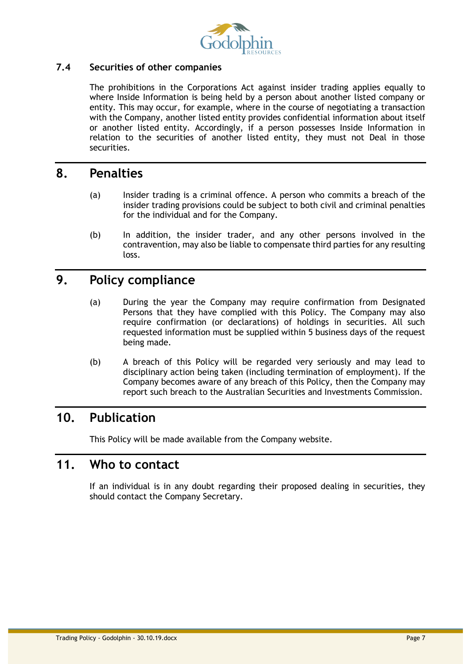

## **7.4 Securities of other companies**

The prohibitions in the Corporations Act against insider trading applies equally to where Inside Information is being held by a person about another listed company or entity. This may occur, for example, where in the course of negotiating a transaction with the Company, another listed entity provides confidential information about itself or another listed entity. Accordingly, if a person possesses Inside Information in relation to the securities of another listed entity, they must not Deal in those securities.

# **8. Penalties**

- (a) Insider trading is a criminal offence. A person who commits a breach of the insider trading provisions could be subject to both civil and criminal penalties for the individual and for the Company.
- (b) In addition, the insider trader, and any other persons involved in the contravention, may also be liable to compensate third parties for any resulting loss.

# **9. Policy compliance**

- (a) During the year the Company may require confirmation from Designated Persons that they have complied with this Policy. The Company may also require confirmation (or declarations) of holdings in securities. All such requested information must be supplied within 5 business days of the request being made.
- (b) A breach of this Policy will be regarded very seriously and may lead to disciplinary action being taken (including termination of employment). If the Company becomes aware of any breach of this Policy, then the Company may report such breach to the Australian Securities and Investments Commission.

# **10. Publication**

This Policy will be made available from the Company website.

# **11. Who to contact**

If an individual is in any doubt regarding their proposed dealing in securities, they should contact the Company Secretary.